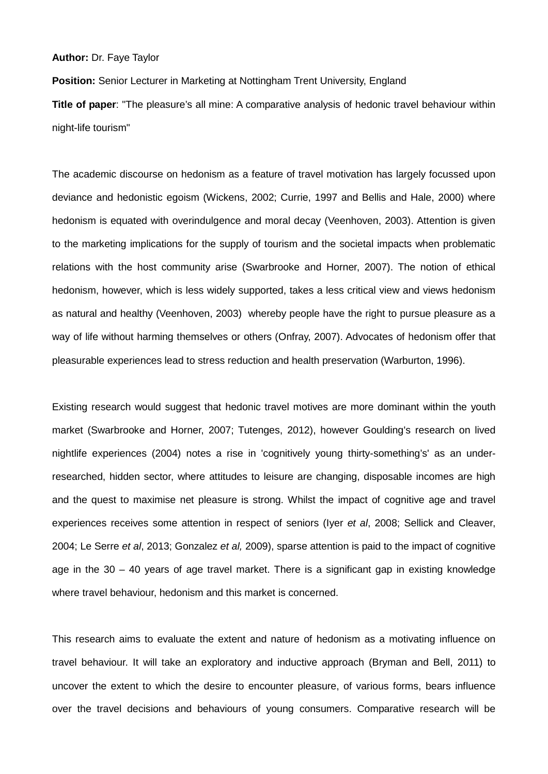## **Author:** Dr. Faye Taylor

**Position:** Senior Lecturer in Marketing at Nottingham Trent University, England **Title of paper**: "The pleasure's all mine: A comparative analysis of hedonic travel behaviour within night-life tourism"

The academic discourse on hedonism as a feature of travel motivation has largely focussed upon deviance and hedonistic egoism (Wickens, 2002; Currie, 1997 and Bellis and Hale, 2000) where hedonism is equated with overindulgence and moral decay (Veenhoven, 2003). Attention is given to the marketing implications for the supply of tourism and the societal impacts when problematic relations with the host community arise (Swarbrooke and Horner, 2007). The notion of ethical hedonism, however, which is less widely supported, takes a less critical view and views hedonism as natural and healthy (Veenhoven, 2003) whereby people have the right to pursue pleasure as a way of life without harming themselves or others (Onfray, 2007). Advocates of hedonism offer that pleasurable experiences lead to stress reduction and health preservation (Warburton, 1996).

Existing research would suggest that hedonic travel motives are more dominant within the youth market (Swarbrooke and Horner, 2007; Tutenges, 2012), however Goulding's research on lived nightlife experiences (2004) notes a rise in 'cognitively young thirty-something's' as an underresearched, hidden sector, where attitudes to leisure are changing, disposable incomes are high and the quest to maximise net pleasure is strong. Whilst the impact of cognitive age and travel experiences receives some attention in respect of seniors (Iyer *et al*, 2008; Sellick and Cleaver, 2004; Le Serre *et al*, 2013; Gonzalez *et al,* 2009), sparse attention is paid to the impact of cognitive age in the  $30 - 40$  years of age travel market. There is a significant gap in existing knowledge where travel behaviour, hedonism and this market is concerned.

This research aims to evaluate the extent and nature of hedonism as a motivating influence on travel behaviour. It will take an exploratory and inductive approach (Bryman and Bell, 2011) to uncover the extent to which the desire to encounter pleasure, of various forms, bears influence over the travel decisions and behaviours of young consumers. Comparative research will be